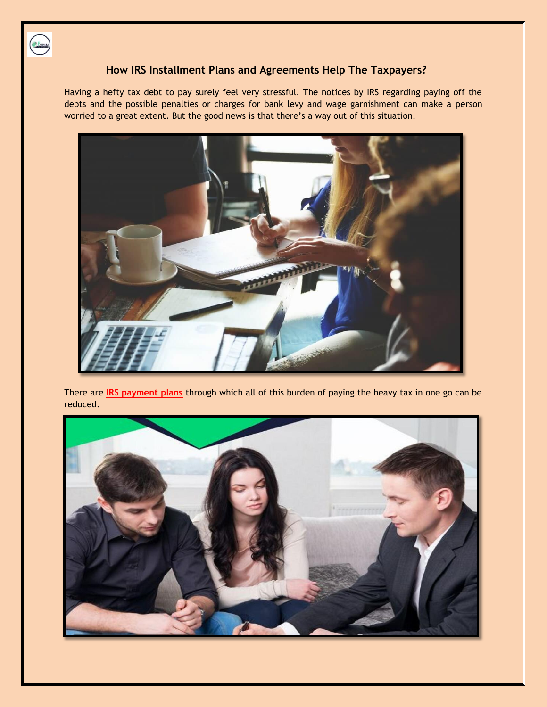

## **How IRS Installment Plans and Agreements Help The Taxpayers?**

Having a hefty tax debt to pay surely feel very stressful. The notices by IRS regarding paying off the debts and the possible penalties or charges for bank levy and wage garnishment can make a person worried to a great extent. But the good news is that there's a way out of this situation.



There are **[IRS payment plans](https://platinumtaxdefenders.com/payment-plans)** through which all of this burden of paying the heavy tax in one go can be reduced.